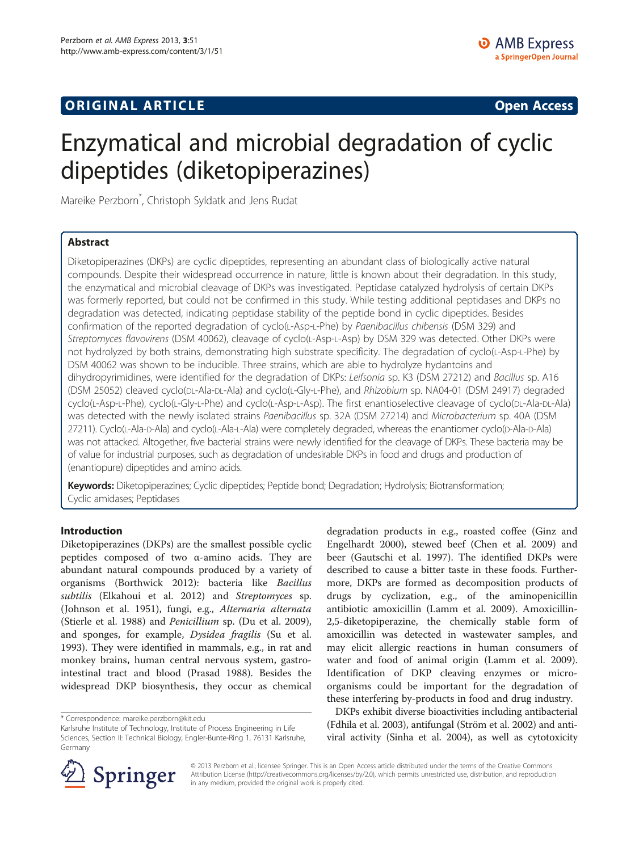## **ORIGINAL ARTICLE CONSUMING A LIGACION CONSUMING A LIGACION CONSUMING A LIGACION**

# Enzymatical and microbial degradation of cyclic dipeptides (diketopiperazines)

Mareike Perzborn\* , Christoph Syldatk and Jens Rudat

## Abstract

Diketopiperazines (DKPs) are cyclic dipeptides, representing an abundant class of biologically active natural compounds. Despite their widespread occurrence in nature, little is known about their degradation. In this study, the enzymatical and microbial cleavage of DKPs was investigated. Peptidase catalyzed hydrolysis of certain DKPs was formerly reported, but could not be confirmed in this study. While testing additional peptidases and DKPs no degradation was detected, indicating peptidase stability of the peptide bond in cyclic dipeptides. Besides confirmation of the reported degradation of cyclo(L-Asp-L-Phe) by Paenibacillus chibensis (DSM 329) and Streptomyces flavovirens (DSM 40062), cleavage of cyclo(L-Asp-L-Asp) by DSM 329 was detected. Other DKPs were not hydrolyzed by both strains, demonstrating high substrate specificity. The degradation of cyclo(L-Asp-L-Phe) by DSM 40062 was shown to be inducible. Three strains, which are able to hydrolyze hydantoins and dihydropyrimidines, were identified for the degradation of DKPs: Leifsonia sp. K3 (DSM 27212) and Bacillus sp. A16 (DSM 25052) cleaved cyclo(DL-Ala-DL-Ala) and cyclo(L-Gly-L-Phe), and Rhizobium sp. NA04-01 (DSM 24917) degraded cyclo(L-Asp-L-Phe), cyclo(L-Gly-L-Phe) and cyclo(L-Asp-L-Asp). The first enantioselective cleavage of cyclo(DL-Ala-DL-Ala) was detected with the newly isolated strains Paenibacillus sp. 32A (DSM 27214) and Microbacterium sp. 40A (DSM 27211). Cyclo(L-Ala-D-Ala) and cyclo(L-Ala-L-Ala) were completely degraded, whereas the enantiomer cyclo(D-Ala-D-Ala) was not attacked. Altogether, five bacterial strains were newly identified for the cleavage of DKPs. These bacteria may be of value for industrial purposes, such as degradation of undesirable DKPs in food and drugs and production of (enantiopure) dipeptides and amino acids.

Keywords: Diketopiperazines; Cyclic dipeptides; Peptide bond; Degradation; Hydrolysis; Biotransformation; Cyclic amidases; Peptidases

## Introduction

Diketopiperazines (DKPs) are the smallest possible cyclic peptides composed of two α-amino acids. They are abundant natural compounds produced by a variety of organisms (Borthwick [2012](#page-10-0)): bacteria like Bacillus subtilis (Elkahoui et al. [2012](#page-10-0)) and Streptomyces sp. (Johnson et al. [1951](#page-10-0)), fungi, e.g., Alternaria alternata (Stierle et al. [1988\)](#page-11-0) and Penicillium sp. (Du et al. [2009](#page-10-0)), and sponges, for example, Dysidea fragilis (Su et al. [1993](#page-11-0)). They were identified in mammals, e.g., in rat and monkey brains, human central nervous system, gastrointestinal tract and blood (Prasad [1988\)](#page-11-0). Besides the widespread DKP biosynthesis, they occur as chemical

degradation products in e.g., roasted coffee (Ginz and Engelhardt [2000\)](#page-10-0), stewed beef (Chen et al. [2009](#page-10-0)) and beer (Gautschi et al. [1997](#page-10-0)). The identified DKPs were described to cause a bitter taste in these foods. Furthermore, DKPs are formed as decomposition products of drugs by cyclization, e.g., of the aminopenicillin antibiotic amoxicillin (Lamm et al. [2009](#page-10-0)). Amoxicillin-2,5-diketopiperazine, the chemically stable form of amoxicillin was detected in wastewater samples, and may elicit allergic reactions in human consumers of water and food of animal origin (Lamm et al. [2009](#page-10-0)). Identification of DKP cleaving enzymes or microorganisms could be important for the degradation of these interfering by-products in food and drug industry.

DKPs exhibit diverse bioactivities including antibacterial (Fdhila et al. [2003\)](#page-10-0), antifungal (Ström et al. [2002\)](#page-11-0) and antiviral activity (Sinha et al. [2004\)](#page-11-0), as well as cytotoxicity



© 2013 Perzborn et al.; licensee Springer. This is an Open Access article distributed under the terms of the Creative Commons Attribution License [\(http://creativecommons.org/licenses/by/2.0\)](http://creativecommons.org/licenses/by/2.0), which permits unrestricted use, distribution, and reproduction in any medium, provided the original work is properly cited.

<sup>\*</sup> Correspondence: [mareike.perzborn@kit.edu](mailto:mareike.perzborn@kit.edu)

Karlsruhe Institute of Technology, Institute of Process Engineering in Life Sciences, Section II: Technical Biology, Engler-Bunte-Ring 1, 76131 Karlsruhe, Germany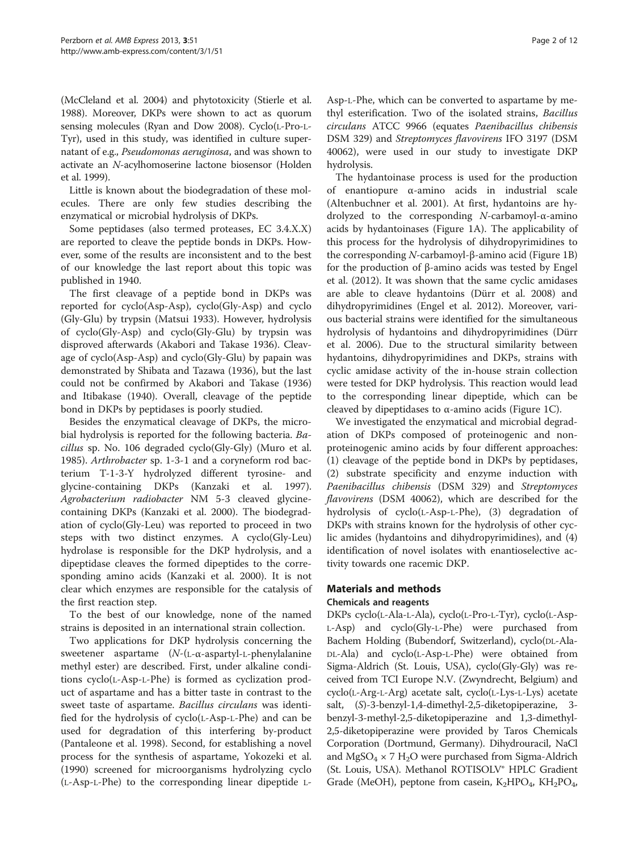(McCleland et al. [2004\)](#page-10-0) and phytotoxicity (Stierle et al. [1988\)](#page-11-0). Moreover, DKPs were shown to act as quorum sensing molecules (Ryan and Dow [2008\)](#page-11-0). Cyclo(L-Pro-L-Tyr), used in this study, was identified in culture supernatant of e.g., Pseudomonas aeruginosa, and was shown to activate an N-acylhomoserine lactone biosensor (Holden et al. [1999](#page-10-0)).

Little is known about the biodegradation of these molecules. There are only few studies describing the enzymatical or microbial hydrolysis of DKPs.

Some peptidases (also termed proteases, EC 3.4.X.X) are reported to cleave the peptide bonds in DKPs. However, some of the results are inconsistent and to the best of our knowledge the last report about this topic was published in 1940.

The first cleavage of a peptide bond in DKPs was reported for cyclo(Asp-Asp), cyclo(Gly-Asp) and cyclo (Gly-Glu) by trypsin (Matsui [1933](#page-10-0)). However, hydrolysis of cyclo(Gly-Asp) and cyclo(Gly-Glu) by trypsin was disproved afterwards (Akabori and Takase [1936\)](#page-10-0). Cleavage of cyclo(Asp-Asp) and cyclo(Gly-Glu) by papain was demonstrated by Shibata and Tazawa ([1936\)](#page-11-0), but the last could not be confirmed by Akabori and Takase ([1936](#page-10-0)) and Itibakase ([1940\)](#page-10-0). Overall, cleavage of the peptide bond in DKPs by peptidases is poorly studied.

Besides the enzymatical cleavage of DKPs, the microbial hydrolysis is reported for the following bacteria. Bacillus sp. No. 106 degraded cyclo(Gly-Gly) (Muro et al. [1985](#page-10-0)). Arthrobacter sp. 1-3-1 and a coryneform rod bacterium T-1-3-Y hydrolyzed different tyrosine- and glycine-containing DKPs (Kanzaki et al. [1997](#page-10-0)). Agrobacterium radiobacter NM 5-3 cleaved glycinecontaining DKPs (Kanzaki et al. [2000](#page-10-0)). The biodegradation of cyclo(Gly-Leu) was reported to proceed in two steps with two distinct enzymes. A cyclo(Gly-Leu) hydrolase is responsible for the DKP hydrolysis, and a dipeptidase cleaves the formed dipeptides to the corresponding amino acids (Kanzaki et al. [2000](#page-10-0)). It is not clear which enzymes are responsible for the catalysis of the first reaction step.

To the best of our knowledge, none of the named strains is deposited in an international strain collection.

Two applications for DKP hydrolysis concerning the sweetener aspartame (N-(L-α-aspartyl-L-phenylalanine methyl ester) are described. First, under alkaline conditions cyclo(L-Asp-L-Phe) is formed as cyclization product of aspartame and has a bitter taste in contrast to the sweet taste of aspartame. Bacillus circulans was identified for the hydrolysis of cyclo(L-Asp-L-Phe) and can be used for degradation of this interfering by-product (Pantaleone et al. [1998\)](#page-10-0). Second, for establishing a novel process for the synthesis of aspartame, Yokozeki et al. ([1990](#page-11-0)) screened for microorganisms hydrolyzing cyclo (L-Asp-L-Phe) to the corresponding linear dipeptide L-

Asp-L-Phe, which can be converted to aspartame by methyl esterification. Two of the isolated strains, Bacillus circulans ATCC 9966 (equates Paenibacillus chibensis DSM 329) and Streptomyces flavovirens IFO 3197 (DSM 40062), were used in our study to investigate DKP hydrolysis.

The hydantoinase process is used for the production of enantiopure α-amino acids in industrial scale (Altenbuchner et al. [2001](#page-10-0)). At first, hydantoins are hydrolyzed to the corresponding N-carbamoyl-α-amino acids by hydantoinases (Figure [1](#page-2-0)A). The applicability of this process for the hydrolysis of dihydropyrimidines to the corresponding N-carbamoyl-β-amino acid (Figure [1B](#page-2-0)) for the production of β-amino acids was tested by Engel et al. ([2012\)](#page-10-0). It was shown that the same cyclic amidases are able to cleave hydantoins (Dürr et al. [2008\)](#page-10-0) and dihydropyrimidines (Engel et al. [2012](#page-10-0)). Moreover, various bacterial strains were identified for the simultaneous hydrolysis of hydantoins and dihydropyrimidines (Dürr et al. [2006\)](#page-10-0). Due to the structural similarity between hydantoins, dihydropyrimidines and DKPs, strains with cyclic amidase activity of the in-house strain collection were tested for DKP hydrolysis. This reaction would lead to the corresponding linear dipeptide, which can be cleaved by dipeptidases to α-amino acids (Figure [1C](#page-2-0)).

We investigated the enzymatical and microbial degradation of DKPs composed of proteinogenic and nonproteinogenic amino acids by four different approaches: (1) cleavage of the peptide bond in DKPs by peptidases, (2) substrate specificity and enzyme induction with Paenibacillus chibensis (DSM 329) and Streptomyces flavovirens (DSM 40062), which are described for the hydrolysis of cyclo(L-Asp-L-Phe), (3) degradation of DKPs with strains known for the hydrolysis of other cyclic amides (hydantoins and dihydropyrimidines), and (4) identification of novel isolates with enantioselective activity towards one racemic DKP.

## Materials and methods

## Chemicals and reagents

DKPs cyclo(L-Ala-L-Ala), cyclo(L-Pro-L-Tyr), cyclo(L-Asp-L-Asp) and cyclo(Gly-L-Phe) were purchased from Bachem Holding (Bubendorf, Switzerland), cyclo(DL-Ala-DL-Ala) and cyclo(L-Asp-L-Phe) were obtained from Sigma-Aldrich (St. Louis, USA), cyclo(Gly-Gly) was received from TCI Europe N.V. (Zwyndrecht, Belgium) and cyclo(L-Arg-L-Arg) acetate salt, cyclo(L-Lys-L-Lys) acetate salt, (S)-3-benzyl-1,4-dimethyl-2,5-diketopiperazine, 3 benzyl-3-methyl-2,5-diketopiperazine and 1,3-dimethyl-2,5-diketopiperazine were provided by Taros Chemicals Corporation (Dortmund, Germany). Dihydrouracil, NaCl and  $MgSO_4 \times 7 H_2O$  were purchased from Sigma-Aldrich (St. Louis, USA). Methanol ROTISOLV® HPLC Gradient Grade (MeOH), peptone from casein,  $K_2HPO_4$ ,  $KH_2PO_4$ ,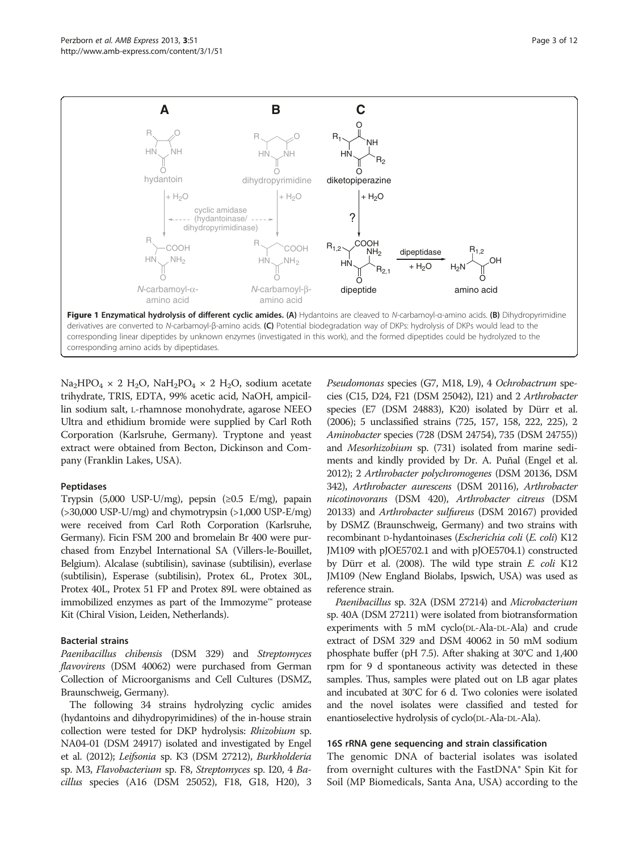<span id="page-2-0"></span>

 $Na<sub>2</sub>HPO<sub>4</sub> × 2 H<sub>2</sub>O$ ,  $NaH<sub>2</sub>PO<sub>4</sub> × 2 H<sub>2</sub>O$ , sodium acetate trihydrate, TRIS, EDTA, 99% acetic acid, NaOH, ampicillin sodium salt, L-rhamnose monohydrate, agarose NEEO Ultra and ethidium bromide were supplied by Carl Roth Corporation (Karlsruhe, Germany). Tryptone and yeast extract were obtained from Becton, Dickinson and Company (Franklin Lakes, USA).

#### Peptidases

Trypsin (5,000 USP-U/mg), pepsin (≥0.5 E/mg), papain  $(>30,000$  USP-U/mg) and chymotrypsin  $(>1,000$  USP-E/mg) were received from Carl Roth Corporation (Karlsruhe, Germany). Ficin FSM 200 and bromelain Br 400 were purchased from Enzybel International SA (Villers-le-Bouillet, Belgium). Alcalase (subtilisin), savinase (subtilisin), everlase (subtilisin), Esperase (subtilisin), Protex 6L, Protex 30L, Protex 40L, Protex 51 FP and Protex 89L were obtained as immobilized enzymes as part of the Immozyme™ protease Kit (Chiral Vision, Leiden, Netherlands).

#### Bacterial strains

Paenibacillus chibensis (DSM 329) and Streptomyces flavovirens (DSM 40062) were purchased from German Collection of Microorganisms and Cell Cultures (DSMZ, Braunschweig, Germany).

The following 34 strains hydrolyzing cyclic amides (hydantoins and dihydropyrimidines) of the in-house strain collection were tested for DKP hydrolysis: Rhizobium sp. NA04-01 (DSM 24917) isolated and investigated by Engel et al. [\(2012](#page-10-0)); Leifsonia sp. K3 (DSM 27212), Burkholderia sp. M3, Flavobacterium sp. F8, Streptomyces sp. I20, 4 Bacillus species (A16 (DSM 25052), F18, G18, H20), 3 Pseudomonas species (G7, M18, L9), 4 Ochrobactrum species (C15, D24, F21 (DSM 25042), I21) and 2 Arthrobacter species (E7 (DSM 24883), K20) isolated by Dürr et al. ([2006\)](#page-10-0); 5 unclassified strains (725, 157, 158, 222, 225), 2 Aminobacter species (728 (DSM 24754), 735 (DSM 24755)) and Mesorhizobium sp. (731) isolated from marine sediments and kindly provided by Dr. A. Puñal (Engel et al. [2012\)](#page-10-0); 2 Arthrobacter polychromogenes (DSM 20136, DSM 342), Arthrobacter aurescens (DSM 20116), Arthrobacter nicotinovorans (DSM 420), Arthrobacter citreus (DSM 20133) and Arthrobacter sulfureus (DSM 20167) provided by DSMZ (Braunschweig, Germany) and two strains with recombinant D-hydantoinases (Escherichia coli (E. coli) K12 JM109 with pJOE5702.1 and with pJOE5704.1) constructed by Dürr et al. [\(2008\)](#page-10-0). The wild type strain E. coli K12 JM109 (New England Biolabs, Ipswich, USA) was used as reference strain.

Paenibacillus sp. 32A (DSM 27214) and Microbacterium sp. 40A (DSM 27211) were isolated from biotransformation experiments with 5 mM cyclo(DL-Ala-DL-Ala) and crude extract of DSM 329 and DSM 40062 in 50 mM sodium phosphate buffer (pH 7.5). After shaking at 30°C and 1,400 rpm for 9 d spontaneous activity was detected in these samples. Thus, samples were plated out on LB agar plates and incubated at 30°C for 6 d. Two colonies were isolated and the novel isolates were classified and tested for enantioselective hydrolysis of cyclo(DL-Ala-DL-Ala).

#### 16S rRNA gene sequencing and strain classification

The genomic DNA of bacterial isolates was isolated from overnight cultures with the FastDNA® Spin Kit for Soil (MP Biomedicals, Santa Ana, USA) according to the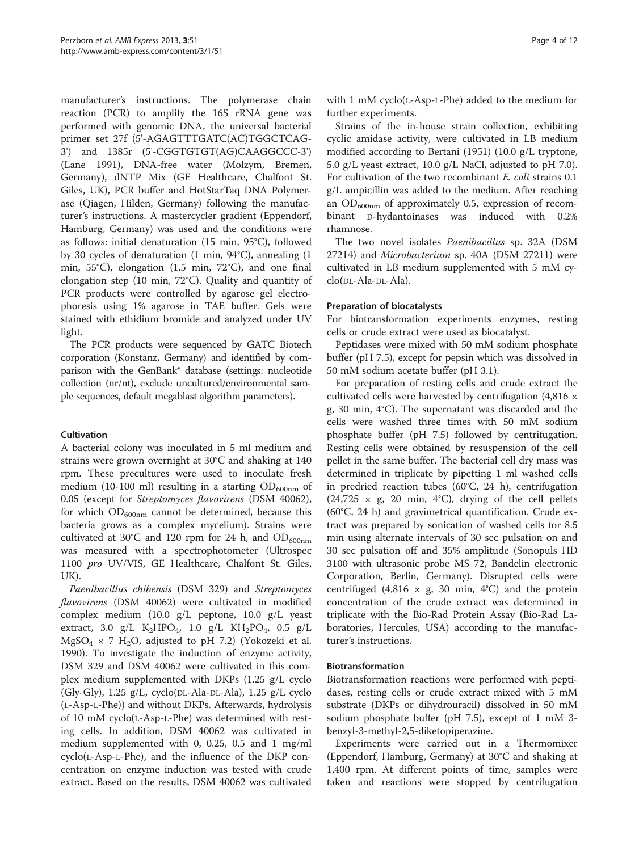manufacturer's instructions. The polymerase chain reaction (PCR) to amplify the 16S rRNA gene was performed with genomic DNA, the universal bacterial primer set 27f (5'-AGAGTTTGATC(AC)TGGCTCAG-3') and 1385r (5'-CGGTGTGT(AG)CAAGGCCC-3') (Lane [1991](#page-10-0)), DNA-free water (Molzym, Bremen, Germany), dNTP Mix (GE Healthcare, Chalfont St. Giles, UK), PCR buffer and HotStarTaq DNA Polymerase (Qiagen, Hilden, Germany) following the manufacturer's instructions. A mastercycler gradient (Eppendorf, Hamburg, Germany) was used and the conditions were as follows: initial denaturation (15 min, 95°C), followed by 30 cycles of denaturation (1 min, 94°C), annealing (1 min, 55°C), elongation (1.5 min, 72°C), and one final elongation step (10 min, 72°C). Quality and quantity of PCR products were controlled by agarose gel electrophoresis using 1% agarose in TAE buffer. Gels were stained with ethidium bromide and analyzed under UV light.

The PCR products were sequenced by GATC Biotech corporation (Konstanz, Germany) and identified by comparison with the GenBank® database (settings: nucleotide collection (nr/nt), exclude uncultured/environmental sample sequences, default megablast algorithm parameters).

## Cultivation

A bacterial colony was inoculated in 5 ml medium and strains were grown overnight at 30°C and shaking at 140 rpm. These precultures were used to inoculate fresh medium (10-100 ml) resulting in a starting  $OD_{600nm}$  of 0.05 (except for Streptomyces flavovirens (DSM 40062), for which  $OD_{600nm}$  cannot be determined, because this bacteria grows as a complex mycelium). Strains were cultivated at 30°C and 120 rpm for 24 h, and  $OD_{600nm}$ was measured with a spectrophotometer (Ultrospec 1100 pro UV/VIS, GE Healthcare, Chalfont St. Giles, UK).

Paenibacillus chibensis (DSM 329) and Streptomyces flavovirens (DSM 40062) were cultivated in modified complex medium (10.0 g/L peptone, 10.0 g/L yeast extract, 3.0 g/L  $K_2HPO_4$ , 1.0 g/L  $KH_2PO_4$ , 0.5 g/L  $MgSO_4 \times 7$  H<sub>2</sub>O, adjusted to pH 7.2) (Yokozeki et al. [1990](#page-11-0)). To investigate the induction of enzyme activity, DSM 329 and DSM 40062 were cultivated in this complex medium supplemented with DKPs (1.25 g/L cyclo (Gly-Gly), 1.25 g/L, cyclo(DL-Ala-DL-Ala), 1.25 g/L cyclo (L-Asp-L-Phe)) and without DKPs. Afterwards, hydrolysis of 10 mM cyclo(L-Asp-L-Phe) was determined with resting cells. In addition, DSM 40062 was cultivated in medium supplemented with 0, 0.25, 0.5 and 1 mg/ml cyclo(L-Asp-L-Phe), and the influence of the DKP concentration on enzyme induction was tested with crude extract. Based on the results, DSM 40062 was cultivated

with 1 mM cyclo(L-Asp-L-Phe) added to the medium for further experiments.

Strains of the in-house strain collection, exhibiting cyclic amidase activity, were cultivated in LB medium modified according to Bertani [\(1951\)](#page-10-0) (10.0 g/L tryptone, 5.0 g/L yeast extract, 10.0 g/L NaCl, adjusted to pH 7.0). For cultivation of the two recombinant E. coli strains 0.1 g/L ampicillin was added to the medium. After reaching an  $OD_{600nm}$  of approximately 0.5, expression of recombinant D-hydantoinases was induced with 0.2% rhamnose.

The two novel isolates Paenibacillus sp. 32A (DSM 27214) and Microbacterium sp. 40A (DSM 27211) were cultivated in LB medium supplemented with 5 mM cyclo(DL-Ala-DL-Ala).

#### Preparation of biocatalysts

For biotransformation experiments enzymes, resting cells or crude extract were used as biocatalyst.

Peptidases were mixed with 50 mM sodium phosphate buffer (pH 7.5), except for pepsin which was dissolved in 50 mM sodium acetate buffer (pH 3.1).

For preparation of resting cells and crude extract the cultivated cells were harvested by centrifugation (4,816 × g, 30 min, 4°C). The supernatant was discarded and the cells were washed three times with 50 mM sodium phosphate buffer (pH 7.5) followed by centrifugation. Resting cells were obtained by resuspension of the cell pellet in the same buffer. The bacterial cell dry mass was determined in triplicate by pipetting 1 ml washed cells in predried reaction tubes (60°C, 24 h), centrifugation (24,725  $\times$  g, 20 min, 4°C), drying of the cell pellets (60°C, 24 h) and gravimetrical quantification. Crude extract was prepared by sonication of washed cells for 8.5 min using alternate intervals of 30 sec pulsation on and 30 sec pulsation off and 35% amplitude (Sonopuls HD 3100 with ultrasonic probe MS 72, Bandelin electronic Corporation, Berlin, Germany). Disrupted cells were centrifuged (4,816  $\times$  g, 30 min, 4°C) and the protein concentration of the crude extract was determined in triplicate with the Bio-Rad Protein Assay (Bio-Rad Laboratories, Hercules, USA) according to the manufacturer's instructions.

#### Biotransformation

Biotransformation reactions were performed with peptidases, resting cells or crude extract mixed with 5 mM substrate (DKPs or dihydrouracil) dissolved in 50 mM sodium phosphate buffer (pH 7.5), except of 1 mM 3 benzyl-3-methyl-2,5-diketopiperazine.

Experiments were carried out in a Thermomixer (Eppendorf, Hamburg, Germany) at 30°C and shaking at 1,400 rpm. At different points of time, samples were taken and reactions were stopped by centrifugation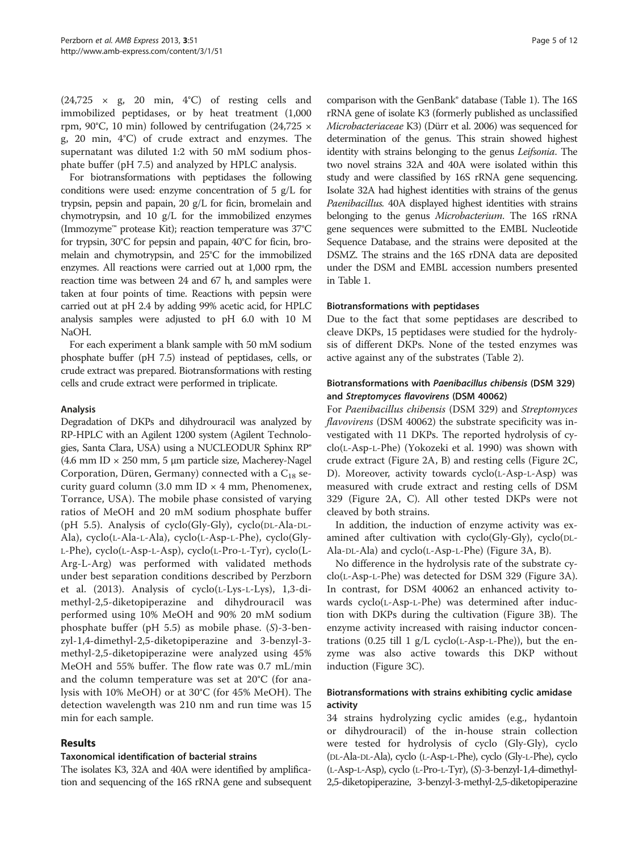$(24,725 \times g, 20 \text{ min}, 4^{\circ}\text{C})$  of resting cells and immobilized peptidases, or by heat treatment (1,000 rpm, 90°C, 10 min) followed by centrifugation (24,725  $\times$ g, 20 min, 4°C) of crude extract and enzymes. The supernatant was diluted 1:2 with 50 mM sodium phosphate buffer (pH 7.5) and analyzed by HPLC analysis.

For biotransformations with peptidases the following conditions were used: enzyme concentration of 5 g/L for trypsin, pepsin and papain, 20 g/L for ficin, bromelain and chymotrypsin, and 10 g/L for the immobilized enzymes (Immozyme™ protease Kit); reaction temperature was 37°C for trypsin, 30°C for pepsin and papain, 40°C for ficin, bromelain and chymotrypsin, and 25°C for the immobilized enzymes. All reactions were carried out at 1,000 rpm, the reaction time was between 24 and 67 h, and samples were taken at four points of time. Reactions with pepsin were carried out at pH 2.4 by adding 99% acetic acid, for HPLC analysis samples were adjusted to pH 6.0 with 10 M NaOH.

For each experiment a blank sample with 50 mM sodium phosphate buffer (pH 7.5) instead of peptidases, cells, or crude extract was prepared. Biotransformations with resting cells and crude extract were performed in triplicate.

## Analysis

Degradation of DKPs and dihydrouracil was analyzed by RP-HPLC with an Agilent 1200 system (Agilent Technologies, Santa Clara, USA) using a NUCLEODUR Sphinx RP® (4.6 mm ID  $\times$  250 mm, 5 µm particle size, Macherey-Nagel Corporation, Düren, Germany) connected with a  $C_{18}$  security guard column (3.0 mm ID  $\times$  4 mm, Phenomenex, Torrance, USA). The mobile phase consisted of varying ratios of MeOH and 20 mM sodium phosphate buffer (pH 5.5). Analysis of cyclo(Gly-Gly), cyclo(DL-Ala-DL-Ala), cyclo(L-Ala-L-Ala), cyclo(L-Asp-L-Phe), cyclo(Gly-L-Phe), cyclo(L-Asp-L-Asp), cyclo(L-Pro-L-Tyr), cyclo(L-Arg-L-Arg) was performed with validated methods under best separation conditions described by Perzborn et al. [\(2013](#page-10-0)). Analysis of cyclo(L-Lys-L-Lys), 1,3-dimethyl-2,5-diketopiperazine and dihydrouracil was performed using 10% MeOH and 90% 20 mM sodium phosphate buffer (pH 5.5) as mobile phase. (S)-3-benzyl-1,4-dimethyl-2,5-diketopiperazine and 3-benzyl-3 methyl-2,5-diketopiperazine were analyzed using 45% MeOH and 55% buffer. The flow rate was 0.7 mL/min and the column temperature was set at 20°C (for analysis with 10% MeOH) or at 30°C (for 45% MeOH). The detection wavelength was 210 nm and run time was 15 min for each sample.

## Results

#### Taxonomical identification of bacterial strains

The isolates K3, 32A and 40A were identified by amplification and sequencing of the 16S rRNA gene and subsequent

comparison with the GenBank® database (Table [1\)](#page-5-0). The 16S rRNA gene of isolate K3 (formerly published as unclassified Microbacteriaceae K3) (Dürr et al. [2006\)](#page-10-0) was sequenced for determination of the genus. This strain showed highest identity with strains belonging to the genus Leifsonia. The two novel strains 32A and 40A were isolated within this study and were classified by 16S rRNA gene sequencing. Isolate 32A had highest identities with strains of the genus Paenibacillus. 40A displayed highest identities with strains belonging to the genus Microbacterium. The 16S rRNA gene sequences were submitted to the EMBL Nucleotide Sequence Database, and the strains were deposited at the DSMZ. The strains and the 16S rDNA data are deposited under the DSM and EMBL accession numbers presented in Table [1](#page-5-0).

#### Biotransformations with peptidases

Due to the fact that some peptidases are described to cleave DKPs, 15 peptidases were studied for the hydrolysis of different DKPs. None of the tested enzymes was active against any of the substrates (Table [2](#page-5-0)).

### Biotransformations with Paenibacillus chibensis (DSM 329) and Streptomyces flavovirens (DSM 40062)

For Paenibacillus chibensis (DSM 329) and Streptomyces flavovirens (DSM 40062) the substrate specificity was investigated with 11 DKPs. The reported hydrolysis of cyclo(L-Asp-L-Phe) (Yokozeki et al. [1990](#page-11-0)) was shown with crude extract (Figure [2A](#page-6-0), B) and resting cells (Figure [2C](#page-6-0), D). Moreover, activity towards cyclo(L-Asp-L-Asp) was measured with crude extract and resting cells of DSM 329 (Figure [2](#page-6-0)A, C). All other tested DKPs were not cleaved by both strains.

In addition, the induction of enzyme activity was examined after cultivation with cyclo(Gly-Gly), cyclo(DL-Ala-DL-Ala) and cyclo(L-Asp-L-Phe) (Figure [3A](#page-7-0), B).

No difference in the hydrolysis rate of the substrate cyclo(L-Asp-L-Phe) was detected for DSM 329 (Figure [3](#page-7-0)A). In contrast, for DSM 40062 an enhanced activity towards cyclo(L-Asp-L-Phe) was determined after induction with DKPs during the cultivation (Figure [3](#page-7-0)B). The enzyme activity increased with raising inductor concentrations  $(0.25 \text{ till } 1 \text{ g/L cycle}$  (L-Asp-L-Phe)), but the enzyme was also active towards this DKP without induction (Figure [3C](#page-7-0)).

## Biotransformations with strains exhibiting cyclic amidase activity

34 strains hydrolyzing cyclic amides (e.g., hydantoin or dihydrouracil) of the in-house strain collection were tested for hydrolysis of cyclo (Gly-Gly), cyclo (DL-Ala-DL-Ala), cyclo (L-Asp-L-Phe), cyclo (Gly-L-Phe), cyclo (L-Asp-L-Asp), cyclo (L-Pro-L-Tyr), (S)-3-benzyl-1,4-dimethyl-2,5-diketopiperazine, 3-benzyl-3-methyl-2,5-diketopiperazine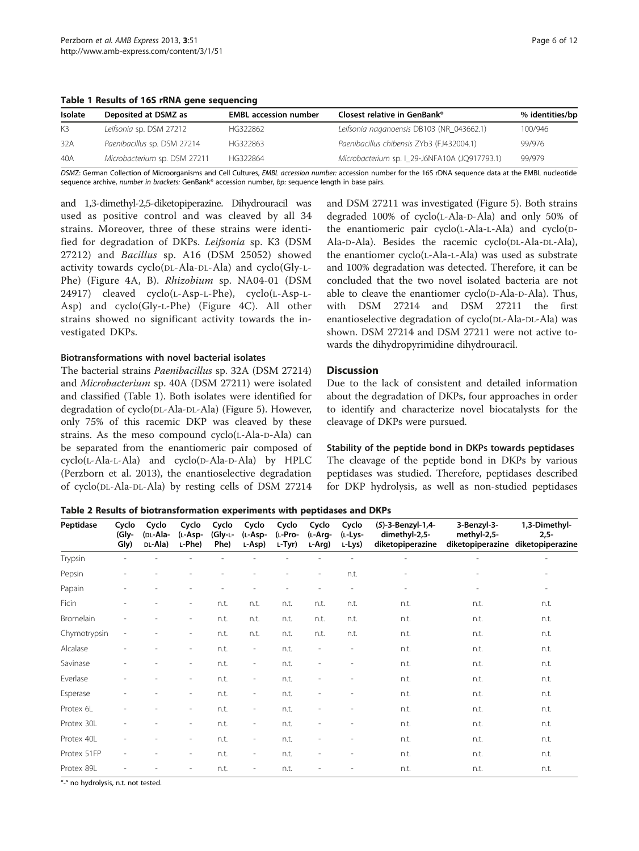<span id="page-5-0"></span>Table 1 Results of 16S rRNA gene sequencing

DSMZ: German Collection of Microorganisms and Cell Cultures, EMBL accession number: accession number for the 16S rDNA sequence data at the EMBL nucleotide sequence archive, number in brackets: GenBank® accession number, bp: sequence length in base pairs.

and 1,3-dimethyl-2,5-diketopiperazine. Dihydrouracil was used as positive control and was cleaved by all 34 strains. Moreover, three of these strains were identified for degradation of DKPs. Leifsonia sp. K3 (DSM 27212) and Bacillus sp. A16 (DSM 25052) showed activity towards cyclo(DL-Ala-DL-Ala) and cyclo(Gly-L-Phe) (Figure [4A](#page-8-0), B). Rhizobium sp. NA04-01 (DSM 24917) cleaved cyclo(L-Asp-L-Phe), cyclo(L-Asp-L-Asp) and cyclo(Gly-L-Phe) (Figure [4C](#page-8-0)). All other strains showed no significant activity towards the investigated DKPs.

Biotransformations with novel bacterial isolates

The bacterial strains Paenibacillus sp. 32A (DSM 27214) and Microbacterium sp. 40A (DSM 27211) were isolated and classified (Table 1). Both isolates were identified for degradation of cyclo(DL-Ala-DL-Ala) (Figure [5](#page-8-0)). However, only 75% of this racemic DKP was cleaved by these strains. As the meso compound cyclo(L-Ala-D-Ala) can be separated from the enantiomeric pair composed of cyclo(L-Ala-L-Ala) and cyclo(D-Ala-D-Ala) by HPLC (Perzborn et al. [2013](#page-10-0)), the enantioselective degradation of cyclo(DL-Ala-DL-Ala) by resting cells of DSM 27214

and DSM 27211 was investigated (Figure [5\)](#page-8-0). Both strains degraded 100% of cyclo(L-Ala-D-Ala) and only 50% of the enantiomeric pair cyclo(L-Ala-L-Ala) and cyclo(D-Ala-D-Ala). Besides the racemic cyclo(DL-Ala-DL-Ala), the enantiomer cyclo(L-Ala-L-Ala) was used as substrate and 100% degradation was detected. Therefore, it can be concluded that the two novel isolated bacteria are not able to cleave the enantiomer cyclo(D-Ala-D-Ala). Thus, with DSM 27214 and DSM 27211 the first enantioselective degradation of cyclo(DL-Ala-DL-Ala) was shown. DSM 27214 and DSM 27211 were not active towards the dihydropyrimidine dihydrouracil.

## **Discussion**

Due to the lack of consistent and detailed information about the degradation of DKPs, four approaches in order to identify and characterize novel biocatalysts for the cleavage of DKPs were pursued.

Stability of the peptide bond in DKPs towards peptidases The cleavage of the peptide bond in DKPs by various peptidases was studied. Therefore, peptidases described

for DKP hydrolysis, as well as non-studied peptidases

Table 2 Results of biotransformation experiments with peptidases and DKPs

| Peptidase    | Cyclo<br>(Gly-<br>Gly) | Cyclo<br>(DL-Ala-<br>DL-Ala) | Cyclo<br>(L-Asp-<br>$L-Phe$ | Cyclo<br>(Gly-L-<br>Phe) | Cyclo<br>(L-Asp-<br>L-Asp) | Cyclo<br>(L-Pro-<br>L-Tyr) | Cyclo<br>(L-Arg-<br>L-Arg) | Cyclo<br>(L-Lys-<br>L-Lys) | (S)-3-Benzyl-1,4-<br>dimethyl-2,5-<br>diketopiperazine | 3-Benzyl-3-<br>methyl-2,5-<br>diketopiperazine | 1,3-Dimethyl-<br>$2,5-$<br>diketopiperazine |
|--------------|------------------------|------------------------------|-----------------------------|--------------------------|----------------------------|----------------------------|----------------------------|----------------------------|--------------------------------------------------------|------------------------------------------------|---------------------------------------------|
| Trypsin      |                        |                              |                             |                          |                            |                            |                            |                            |                                                        | $\overline{a}$                                 | $\overline{\phantom{a}}$                    |
| Pepsin       |                        |                              |                             |                          |                            |                            | $\overline{\phantom{a}}$   | n.t.                       | $\overline{\phantom{a}}$                               | $\overline{\phantom{a}}$                       |                                             |
| Papain       |                        |                              |                             |                          |                            |                            | L.                         | $\overline{\phantom{a}}$   |                                                        |                                                |                                             |
| Ficin        | $\overline{a}$         |                              | $\overline{\phantom{a}}$    | n.t.                     | n.t.                       | n.t.                       | n.t.                       | n.t.                       | n.t.                                                   | n.t.                                           | n.t.                                        |
| Bromelain    |                        |                              | $\overline{\phantom{a}}$    | n.t.                     | n.t.                       | n.t.                       | n.t.                       | n.t.                       | n.t.                                                   | n.t.                                           | n.t.                                        |
| Chymotrypsin | $\overline{a}$         |                              | $\overline{\phantom{a}}$    | n.t.                     | n.t.                       | n.t.                       | n.t.                       | n.t.                       | n.t.                                                   | n.t.                                           | n.t.                                        |
| Alcalase     |                        |                              | $\overline{\phantom{a}}$    | n.t.                     | $\overline{\phantom{a}}$   | n.t.                       | $\overline{\phantom{a}}$   | $\overline{a}$             | n.t.                                                   | n.t.                                           | n.t.                                        |
| Savinase     | ۰                      |                              | $\overline{\phantom{a}}$    | n.t.                     | $\overline{\phantom{a}}$   | n.t.                       | ٠                          | $\overline{\phantom{a}}$   | n.t.                                                   | n.t.                                           | n.t.                                        |
| Everlase     | $\overline{a}$         |                              | $\overline{\phantom{a}}$    | n.t.                     | $\overline{\phantom{a}}$   | n.t.                       | $\overline{\phantom{a}}$   | $\overline{\phantom{0}}$   | n.t.                                                   | n.t.                                           | n.t.                                        |
| Esperase     |                        |                              | $\overline{\phantom{a}}$    | n.t.                     | $\overline{\phantom{a}}$   | n.t.                       |                            | ÷,                         | n.t.                                                   | n.t.                                           | n.t.                                        |
| Protex 6L    |                        |                              | $\overline{\phantom{a}}$    | n.t.                     | $\overline{\phantom{a}}$   | n.t.                       | i.                         |                            | n.t.                                                   | n.t.                                           | n.t.                                        |
| Protex 30L   |                        |                              | $\overline{\phantom{a}}$    | n.t.                     | $\overline{\phantom{a}}$   | n.t.                       | ÷                          | $\overline{a}$             | n.t.                                                   | n.t.                                           | n.t.                                        |
| Protex 40L   |                        |                              | $\overline{\phantom{a}}$    | n.t.                     | $\overline{\phantom{a}}$   | n.t.                       |                            |                            | n.t.                                                   | n.t.                                           | n.t.                                        |
| Protex 51FP  |                        |                              | $\overline{\phantom{a}}$    | n.t.                     | $\overline{\phantom{a}}$   | n.t.                       | ÷                          |                            | n.t.                                                   | n.t.                                           | n.t.                                        |
| Protex 89L   |                        |                              |                             | n.t.                     | $\overline{\phantom{0}}$   | n.t.                       | $\overline{\phantom{0}}$   |                            | n.t.                                                   | n.t.                                           | n.t.                                        |

"-" no hydrolysis, n.t. not tested.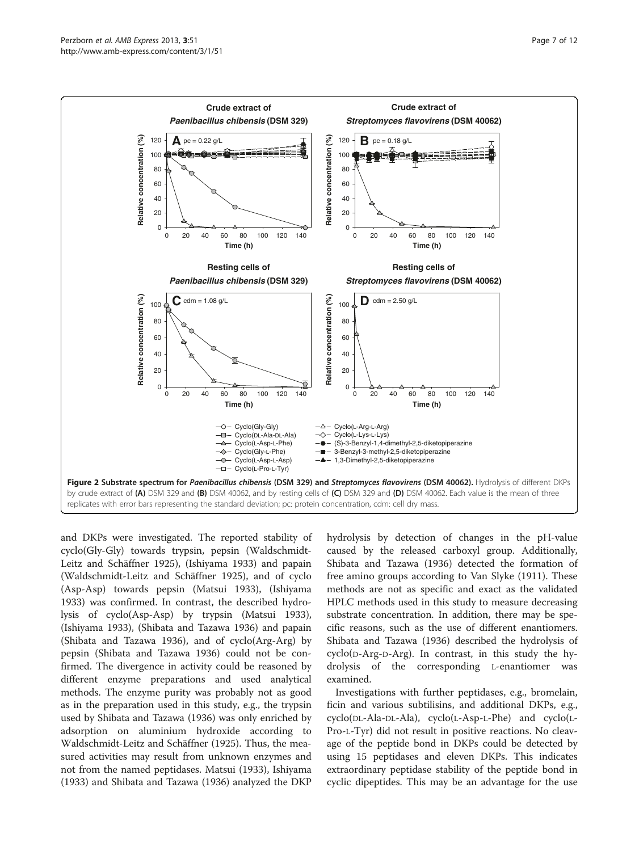<span id="page-6-0"></span>

and DKPs were investigated. The reported stability of cyclo(Gly-Gly) towards trypsin, pepsin (Waldschmidt-Leitz and Schäffner [1925](#page-11-0)), (Ishiyama [1933](#page-10-0)) and papain (Waldschmidt-Leitz and Schäffner [1925](#page-11-0)), and of cyclo (Asp-Asp) towards pepsin (Matsui [1933](#page-10-0)), (Ishiyama [1933](#page-10-0)) was confirmed. In contrast, the described hydrolysis of cyclo(Asp-Asp) by trypsin (Matsui [1933](#page-10-0)), (Ishiyama [1933\)](#page-10-0), (Shibata and Tazawa [1936\)](#page-11-0) and papain (Shibata and Tazawa [1936](#page-11-0)), and of cyclo(Arg-Arg) by pepsin (Shibata and Tazawa [1936](#page-11-0)) could not be confirmed. The divergence in activity could be reasoned by different enzyme preparations and used analytical methods. The enzyme purity was probably not as good as in the preparation used in this study, e.g., the trypsin used by Shibata and Tazawa [\(1936\)](#page-11-0) was only enriched by adsorption on aluminium hydroxide according to Waldschmidt-Leitz and Schäffner [\(1925\)](#page-11-0). Thus, the measured activities may result from unknown enzymes and not from the named peptidases. Matsui [\(1933\)](#page-10-0), Ishiyama ([1933](#page-10-0)) and Shibata and Tazawa [\(1936\)](#page-11-0) analyzed the DKP hydrolysis by detection of changes in the pH-value caused by the released carboxyl group. Additionally, Shibata and Tazawa ([1936](#page-11-0)) detected the formation of free amino groups according to Van Slyke ([1911\)](#page-11-0). These methods are not as specific and exact as the validated HPLC methods used in this study to measure decreasing substrate concentration. In addition, there may be specific reasons, such as the use of different enantiomers. Shibata and Tazawa ([1936](#page-11-0)) described the hydrolysis of cyclo(D-Arg-D-Arg). In contrast, in this study the hydrolysis of the corresponding L-enantiomer was examined.

Investigations with further peptidases, e.g., bromelain, ficin and various subtilisins, and additional DKPs, e.g., cyclo(DL-Ala-DL-Ala), cyclo(L-Asp-L-Phe) and cyclo(L-Pro-L-Tyr) did not result in positive reactions. No cleavage of the peptide bond in DKPs could be detected by using 15 peptidases and eleven DKPs. This indicates extraordinary peptidase stability of the peptide bond in cyclic dipeptides. This may be an advantage for the use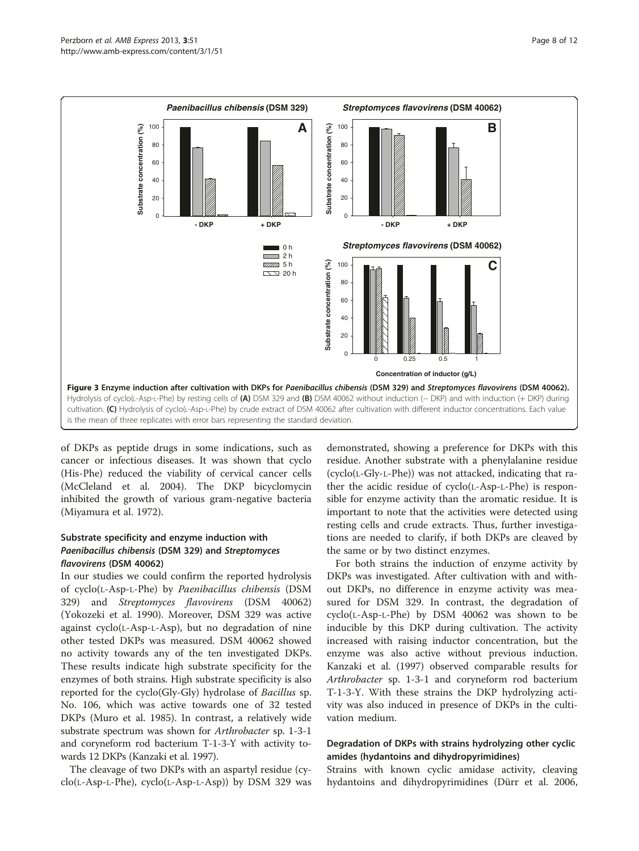<span id="page-7-0"></span>

of DKPs as peptide drugs in some indications, such as cancer or infectious diseases. It was shown that cyclo (His-Phe) reduced the viability of cervical cancer cells (McCleland et al. [2004\)](#page-10-0). The DKP bicyclomycin inhibited the growth of various gram-negative bacteria (Miyamura et al. [1972\)](#page-10-0).

## Substrate specificity and enzyme induction with Paenibacillus chibensis (DSM 329) and Streptomyces flavovirens (DSM 40062)

In our studies we could confirm the reported hydrolysis of cyclo(L-Asp-L-Phe) by Paenibacillus chibensis (DSM 329) and Streptomyces flavovirens (DSM 40062) (Yokozeki et al. [1990](#page-11-0)). Moreover, DSM 329 was active against cyclo(L-Asp-L-Asp), but no degradation of nine other tested DKPs was measured. DSM 40062 showed no activity towards any of the ten investigated DKPs. These results indicate high substrate specificity for the enzymes of both strains. High substrate specificity is also reported for the cyclo(Gly-Gly) hydrolase of Bacillus sp. No. 106, which was active towards one of 32 tested DKPs (Muro et al. [1985](#page-10-0)). In contrast, a relatively wide substrate spectrum was shown for Arthrobacter sp. 1-3-1 and coryneform rod bacterium T-1-3-Y with activity towards 12 DKPs (Kanzaki et al. [1997\)](#page-10-0).

The cleavage of two DKPs with an aspartyl residue (cyclo(L-Asp-L-Phe), cyclo(L-Asp-L-Asp)) by DSM 329 was

demonstrated, showing a preference for DKPs with this residue. Another substrate with a phenylalanine residue (cyclo(L-Gly-L-Phe)) was not attacked, indicating that rather the acidic residue of cyclo(L-Asp-L-Phe) is responsible for enzyme activity than the aromatic residue. It is important to note that the activities were detected using resting cells and crude extracts. Thus, further investigations are needed to clarify, if both DKPs are cleaved by the same or by two distinct enzymes.

For both strains the induction of enzyme activity by DKPs was investigated. After cultivation with and without DKPs, no difference in enzyme activity was measured for DSM 329. In contrast, the degradation of cyclo(L-Asp-L-Phe) by DSM 40062 was shown to be inducible by this DKP during cultivation. The activity increased with raising inductor concentration, but the enzyme was also active without previous induction. Kanzaki et al. ([1997](#page-10-0)) observed comparable results for Arthrobacter sp. 1-3-1 and coryneform rod bacterium T-1-3-Y. With these strains the DKP hydrolyzing activity was also induced in presence of DKPs in the cultivation medium.

## Degradation of DKPs with strains hydrolyzing other cyclic amides (hydantoins and dihydropyrimidines)

Strains with known cyclic amidase activity, cleaving hydantoins and dihydropyrimidines (Dürr et al. [2006](#page-10-0),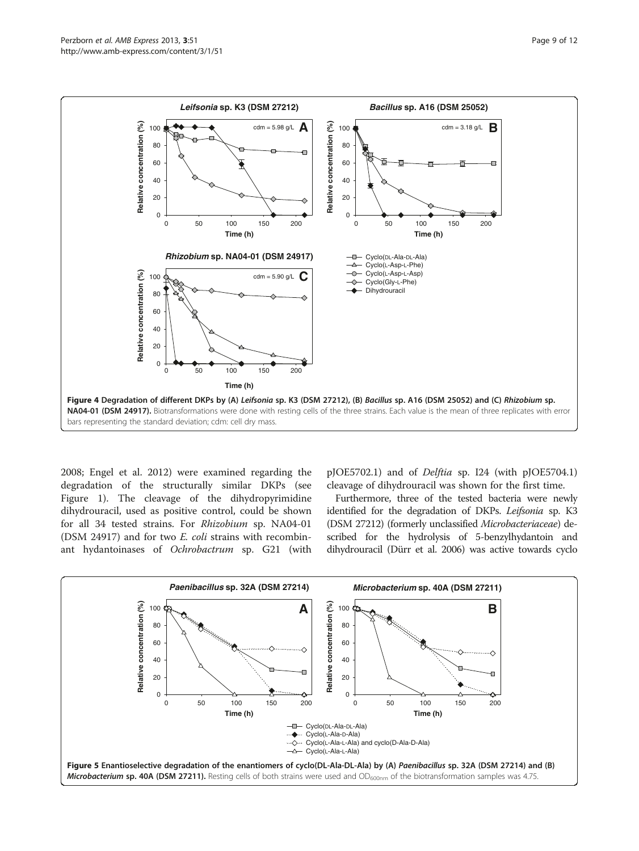<span id="page-8-0"></span>

[2008](#page-10-0); Engel et al. [2012](#page-10-0)) were examined regarding the degradation of the structurally similar DKPs (see Figure [1\)](#page-2-0). The cleavage of the dihydropyrimidine dihydrouracil, used as positive control, could be shown for all 34 tested strains. For Rhizobium sp. NA04-01 (DSM 24917) and for two E. coli strains with recombinant hydantoinases of Ochrobactrum sp. G21 (with

pJOE5702.1) and of Delftia sp. I24 (with pJOE5704.1) cleavage of dihydrouracil was shown for the first time.

Furthermore, three of the tested bacteria were newly identified for the degradation of DKPs. Leifsonia sp. K3 (DSM 27212) (formerly unclassified Microbacteriaceae) described for the hydrolysis of 5-benzylhydantoin and dihydrouracil (Dürr et al. [2006\)](#page-10-0) was active towards cyclo

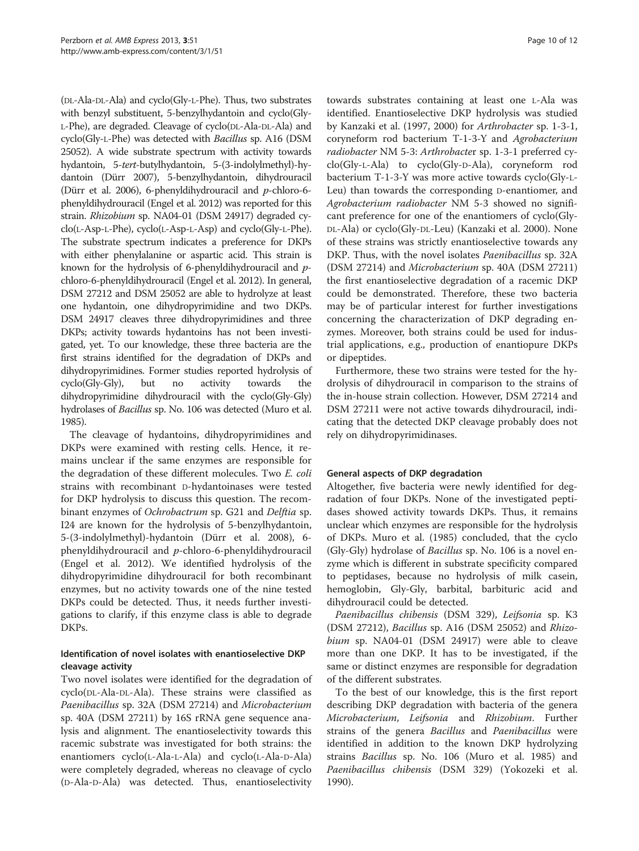(DL-Ala-DL-Ala) and cyclo(Gly-L-Phe). Thus, two substrates with benzyl substituent, 5-benzylhydantoin and cyclo(Gly-L-Phe), are degraded. Cleavage of cyclo(DL-Ala-DL-Ala) and cyclo(Gly-L-Phe) was detected with Bacillus sp. A16 (DSM 25052). A wide substrate spectrum with activity towards hydantoin, 5-tert-butylhydantoin, 5-(3-indolylmethyl)-hydantoin (Dürr [2007](#page-10-0)), 5-benzylhydantoin, dihydrouracil (Dürr et al. [2006\)](#page-10-0), 6-phenyldihydrouracil and p-chloro-6 phenyldihydrouracil (Engel et al. [2012](#page-10-0)) was reported for this strain. Rhizobium sp. NA04-01 (DSM 24917) degraded cyclo(L-Asp-L-Phe), cyclo(L-Asp-L-Asp) and cyclo(Gly-L-Phe). The substrate spectrum indicates a preference for DKPs with either phenylalanine or aspartic acid. This strain is known for the hydrolysis of 6-phenyldihydrouracil and pchloro-6-phenyldihydrouracil (Engel et al. [2012](#page-10-0)). In general, DSM 27212 and DSM 25052 are able to hydrolyze at least one hydantoin, one dihydropyrimidine and two DKPs. DSM 24917 cleaves three dihydropyrimidines and three DKPs; activity towards hydantoins has not been investigated, yet. To our knowledge, these three bacteria are the first strains identified for the degradation of DKPs and dihydropyrimidines. Former studies reported hydrolysis of cyclo(Gly-Gly), but no activity towards the dihydropyrimidine dihydrouracil with the cyclo(Gly-Gly) hydrolases of Bacillus sp. No. 106 was detected (Muro et al. [1985\)](#page-10-0).

The cleavage of hydantoins, dihydropyrimidines and DKPs were examined with resting cells. Hence, it remains unclear if the same enzymes are responsible for the degradation of these different molecules. Two E. coli strains with recombinant D-hydantoinases were tested for DKP hydrolysis to discuss this question. The recombinant enzymes of Ochrobactrum sp. G21 and Delftia sp. I24 are known for the hydrolysis of 5-benzylhydantoin, 5-(3-indolylmethyl)-hydantoin (Dürr et al. [2008](#page-10-0)), 6 phenyldihydrouracil and p-chloro-6-phenyldihydrouracil (Engel et al. [2012](#page-10-0)). We identified hydrolysis of the dihydropyrimidine dihydrouracil for both recombinant enzymes, but no activity towards one of the nine tested DKPs could be detected. Thus, it needs further investigations to clarify, if this enzyme class is able to degrade DKPs.

## Identification of novel isolates with enantioselective DKP cleavage activity

Two novel isolates were identified for the degradation of cyclo(DL-Ala-DL-Ala). These strains were classified as Paenibacillus sp. 32A (DSM 27214) and Microbacterium sp. 40A (DSM 27211) by 16S rRNA gene sequence analysis and alignment. The enantioselectivity towards this racemic substrate was investigated for both strains: the enantiomers cyclo(L-Ala-L-Ala) and cyclo(L-Ala-D-Ala) were completely degraded, whereas no cleavage of cyclo (D-Ala-D-Ala) was detected. Thus, enantioselectivity

towards substrates containing at least one L-Ala was identified. Enantioselective DKP hydrolysis was studied by Kanzaki et al. [\(1997, 2000\)](#page-10-0) for Arthrobacter sp. 1-3-1, coryneform rod bacterium T-1-3-Y and Agrobacterium radiobacter NM 5-3: Arthrobacter sp. 1-3-1 preferred cyclo(Gly-L-Ala) to cyclo(Gly-D-Ala), coryneform rod bacterium T-1-3-Y was more active towards cyclo(Gly-L-Leu) than towards the corresponding D-enantiomer, and Agrobacterium radiobacter NM 5-3 showed no significant preference for one of the enantiomers of cyclo(Gly-DL-Ala) or cyclo(Gly-DL-Leu) (Kanzaki et al. [2000\)](#page-10-0). None of these strains was strictly enantioselective towards any DKP. Thus, with the novel isolates *Paenibacillus* sp. 32A (DSM 27214) and Microbacterium sp. 40A (DSM 27211) the first enantioselective degradation of a racemic DKP could be demonstrated. Therefore, these two bacteria may be of particular interest for further investigations concerning the characterization of DKP degrading enzymes. Moreover, both strains could be used for industrial applications, e.g., production of enantiopure DKPs or dipeptides.

Furthermore, these two strains were tested for the hydrolysis of dihydrouracil in comparison to the strains of the in-house strain collection. However, DSM 27214 and DSM 27211 were not active towards dihydrouracil, indicating that the detected DKP cleavage probably does not rely on dihydropyrimidinases.

## General aspects of DKP degradation

Altogether, five bacteria were newly identified for degradation of four DKPs. None of the investigated peptidases showed activity towards DKPs. Thus, it remains unclear which enzymes are responsible for the hydrolysis of DKPs. Muro et al. ([1985](#page-10-0)) concluded, that the cyclo (Gly-Gly) hydrolase of Bacillus sp. No. 106 is a novel enzyme which is different in substrate specificity compared to peptidases, because no hydrolysis of milk casein, hemoglobin, Gly-Gly, barbital, barbituric acid and dihydrouracil could be detected.

Paenibacillus chibensis (DSM 329), Leifsonia sp. K3 (DSM 27212), Bacillus sp. A16 (DSM 25052) and Rhizobium sp. NA04-01 (DSM 24917) were able to cleave more than one DKP. It has to be investigated, if the same or distinct enzymes are responsible for degradation of the different substrates.

To the best of our knowledge, this is the first report describing DKP degradation with bacteria of the genera Microbacterium, Leifsonia and Rhizobium. Further strains of the genera *Bacillus* and *Paenibacillus* were identified in addition to the known DKP hydrolyzing strains Bacillus sp. No. 106 (Muro et al. [1985](#page-10-0)) and Paenibacillus chibensis (DSM 329) (Yokozeki et al. [1990](#page-11-0)).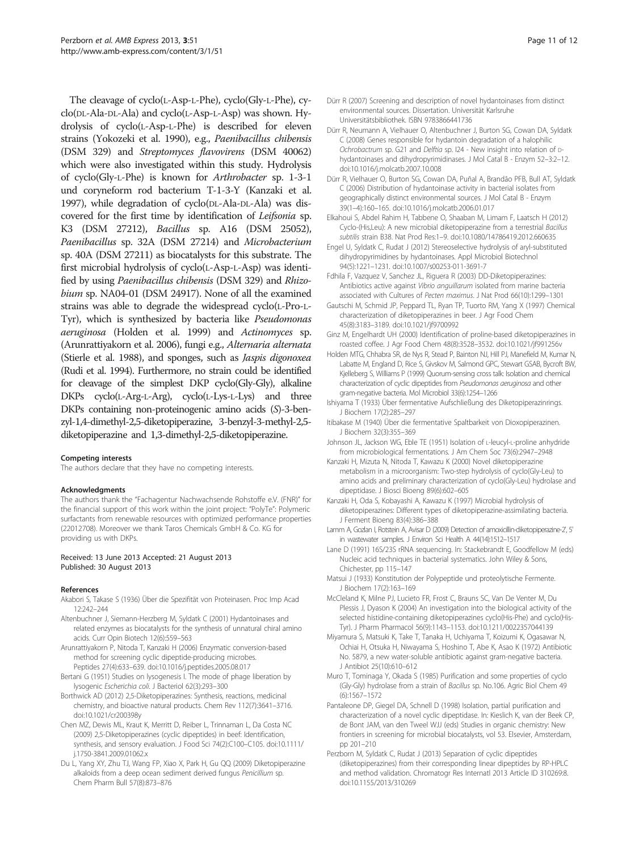<span id="page-10-0"></span>The cleavage of cyclo(L-Asp-L-Phe), cyclo(Gly-L-Phe), cyclo(DL-Ala-DL-Ala) and cyclo(L-Asp-L-Asp) was shown. Hydrolysis of cyclo(L-Asp-L-Phe) is described for eleven strains (Yokozeki et al. [1990](#page-11-0)), e.g., Paenibacillus chibensis (DSM 329) and Streptomyces flavovirens (DSM 40062) which were also investigated within this study. Hydrolysis of cyclo(Gly-L-Phe) is known for Arthrobacter sp. 1-3-1 und coryneform rod bacterium T-1-3-Y (Kanzaki et al. 1997), while degradation of cyclo(DL-Ala-DL-Ala) was discovered for the first time by identification of Leifsonia sp. K3 (DSM 27212), Bacillus sp. A16 (DSM 25052), Paenibacillus sp. 32A (DSM 27214) and Microbacterium sp. 40A (DSM 27211) as biocatalysts for this substrate. The first microbial hydrolysis of cyclo(L-Asp-L-Asp) was identified by using Paenibacillus chibensis (DSM 329) and Rhizobium sp. NA04-01 (DSM 24917). None of all the examined strains was able to degrade the widespread cyclo(L-Pro-L-Tyr), which is synthesized by bacteria like Pseudomonas aeruginosa (Holden et al. 1999) and Actinomyces sp. (Arunrattiyakorn et al. 2006), fungi e.g., Alternaria alternata (Stierle et al. [1988](#page-11-0)), and sponges, such as Jaspis digonoxea (Rudi et al. [1994](#page-11-0)). Furthermore, no strain could be identified for cleavage of the simplest DKP cyclo(Gly-Gly), alkaline DKPs cyclo(L-Arg-L-Arg), cyclo(L-Lys-L-Lys) and three DKPs containing non-proteinogenic amino acids (S)-3-benzyl-1,4-dimethyl-2,5-diketopiperazine, 3-benzyl-3-methyl-2,5 diketopiperazine and 1,3-dimethyl-2,5-diketopiperazine.

#### Competing interests

The authors declare that they have no competing interests.

#### Acknowledgments

The authors thank the "Fachagentur Nachwachsende Rohstoffe e.V. (FNR)" for the financial support of this work within the joint project: "PolyTe": Polymeric surfactants from renewable resources with optimized performance properties (22012708). Moreover we thank Taros Chemicals GmbH & Co. KG for providing us with DKPs.

#### Received: 13 June 2013 Accepted: 21 August 2013 Published: 30 August 2013

#### References

- Akabori S, Takase S (1936) Über die Spezifität von Proteinasen. Proc Imp Acad 12:242–244
- Altenbuchner J, Siemann-Herzberg M, Syldatk C (2001) Hydantoinases and related enzymes as biocatalysts for the synthesis of unnatural chiral amino acids. Curr Opin Biotech 12(6):559–563
- Arunrattiyakorn P, Nitoda T, Kanzaki H (2006) Enzymatic conversion-based method for screening cyclic dipeptide-producing microbes. Peptides 27(4):633–639. doi:10.1016/j.peptides.2005.08.017
- Bertani G (1951) Studies on lysogenesis I. The mode of phage liberation by lysogenic Escherichia coli. J Bacteriol 62(3):293–300
- Borthwick AD (2012) 2,5-Diketopiperazines: Synthesis, reactions, medicinal chemistry, and bioactive natural products. Chem Rev 112(7):3641–3716. doi:10.1021/cr200398y
- Chen MZ, Dewis ML, Kraut K, Merritt D, Reiber L, Trinnaman L, Da Costa NC (2009) 2,5-Diketopiperazines (cyclic dipeptides) in beef: Identification, synthesis, and sensory evaluation. J Food Sci 74(2):C100–C105. doi:10.1111/ j.1750-3841.2009.01062.x
- Du L, Yang XY, Zhu TJ, Wang FP, Xiao X, Park H, Gu QQ (2009) Diketopiperazine alkaloids from a deep ocean sediment derived fungus Penicillium sp. Chem Pharm Bull 57(8):873–876
- Dürr R (2007) Screening and description of novel hydantoinases from distinct environmental sources. Dissertation. Universität Karlsruhe Universitätsbibliothek. ISBN 9783866441736
- Dürr R, Neumann A, Vielhauer O, Altenbuchner J, Burton SG, Cowan DA, Syldatk C (2008) Genes responsible for hydantoin degradation of a halophilic Ochrobactrum sp. G21 and Delftia sp. I24 - New insight into relation of Dhydantoinases and dihydropyrimidinases. J Mol Catal B - Enzym 52–3:2–12. doi:10.1016/j.molcatb.2007.10.008
- Dürr R, Vielhauer O, Burton SG, Cowan DA, Puñal A, Brandão PFB, Bull AT, Syldatk C (2006) Distribution of hydantoinase activity in bacterial isolates from geographically distinct environmental sources. J Mol Catal B - Enzym 39(1–4):160–165. doi:10.1016/j.molcatb.2006.01.017
- Elkahoui S, Abdel Rahim H, Tabbene O, Shaaban M, Limam F, Laatsch H (2012) Cyclo-(His,Leu): A new microbial diketopiperazine from a terrestrial Bacillus subtilis strain B38. Nat Prod Res:1–9. doi:10.1080/14786419.2012.660635
- Engel U, Syldatk C, Rudat J (2012) Stereoselective hydrolysis of aryl-substituted dihydropyrimidines by hydantoinases. Appl Microbiol Biotechnol 94(5):1221–1231. doi:10.1007/s00253-011-3691-7
- Fdhila F, Vazquez V, Sanchez JL, Riguera R (2003) DD-Diketopiperazines: Antibiotics active against Vibrio anguillarum isolated from marine bacteria associated with Cultures of Pecten maximus. J Nat Prod 66(10):1299–1301
- Gautschi M, Schmid JP, Peppard TL, Ryan TP, Tuorto RM, Yang X (1997) Chemical characterization of diketopiperazines in beer. J Agr Food Chem 45(8):3183–3189. doi:10.1021/jf9700992
- Ginz M, Engelhardt UH (2000) Identification of proline-based diketopiperazines in roasted coffee. J Agr Food Chem 48(8):3528–3532. doi:10.1021/jf991256v
- Holden MTG, Chhabra SR, de Nys R, Stead P, Bainton NJ, Hill PJ, Manefield M, Kumar N, Labatte M, England D, Rice S, Givskov M, Salmond GPC, Stewart GSAB, Bycroft BW, Kjelleberg S, Williams P (1999) Quorum-sensing cross talk: Isolation and chemical characterization of cyclic dipeptides from Pseudomonas aeruginosa and other gram-negative bacteria. Mol Microbiol 33(6):1254–1266
- Ishiyama T (1933) Über fermentative Aufschließung des Diketopiperazinrings. J Biochem 17(2):285–297
- Itibakase M (1940) Über die fermentative Spaltbarkeit von Dioxopiperazinen. J Biochem 32(3):355–369
- Johnson JL, Jackson WG, Eble TE (1951) Isolation of L-leucyl-L-proline anhydride from microbiological fermentations. J Am Chem Soc 73(6):2947–2948
- Kanzaki H, Mizuta N, Nitoda T, Kawazu K (2000) Novel diketopiperazine metabolism in a microorganism: Two-step hydrolysis of cyclo(Gly-Leu) to amino acids and preliminary characterization of cyclo(Gly-Leu) hydrolase and dipeptidase. J Biosci Bioeng 89(6):602–605
- Kanzaki H, Oda S, Kobayashi A, Kawazu K (1997) Microbial hydrolysis of diketopiperazines: Different types of diketopiperazine-assimilating bacteria. J Ferment Bioeng 83(4):386–388
- Lamm A, Gozlan I, Rotstein A, Avisar D (2009) Detection of amoxicillin-diketopiperazine-2', 5' in wastewater samples. J Environ Sci Health A 44(14):1512–1517
- Lane D (1991) 16S/23S rRNA sequencing. In: Stackebrandt E, Goodfellow M (eds) Nucleic acid techniques in bacterial systematics. John Wiley & Sons, Chichester, pp 115–147
- Matsui J (1933) Konstitution der Polypeptide und proteolytische Fermente. J Biochem 17(2):163–169
- McCleland K, Milne PJ, Lucieto FR, Frost C, Brauns SC, Van De Venter M, Du Plessis J, Dyason K (2004) An investigation into the biological activity of the selected histidine-containing diketopiperazines cyclo(His-Phe) and cyclo(His-Tyr). J Pharm Pharmacol 56(9):1143–1153. doi:10.1211/0022357044139
- Miyamura S, Matsuki K, Take T, Tanaka H, Uchiyama T, Koizumi K, Ogasawar N, Ochiai H, Otsuka H, Niwayama S, Hoshino T, Abe K, Asao K (1972) Antibiotic No. 5879, a new water-soluble antibiotic against gram-negative bacteria. J Antibiot 25(10):610–612
- Muro T, Tominaga Y, Okada S (1985) Purification and some properties of cyclo (Gly-Gly) hydrolase from a strain of Bacillus sp. No.106. Agric Biol Chem 49 (6):1567–1572
- Pantaleone DP, Giegel DA, Schnell D (1998) Isolation, partial purification and characterization of a novel cyclic dipeptidase. In: Kieslich K, van der Beek CP, de Bont JAM, van den Tweel WJJ (eds) Studies in organic chemistry: New frontiers in screening for microbial biocatalysts, vol 53. Elsevier, Amsterdam, pp 201–210
- Perzborn M, Syldatk C, Rudat J (2013) Separation of cyclic dipeptides (diketopiperazines) from their corresponding linear dipeptides by RP-HPLC and method validation. Chromatogr Res Internatl 2013 Article ID 310269:8. doi:10.1155/2013/310269